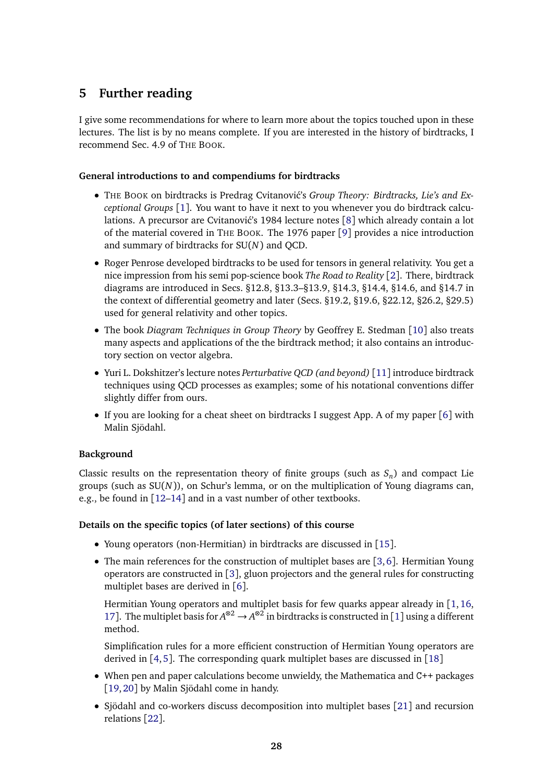## **5 Further reading**

I give some recommendations for where to learn more about the topics touched upon in these lectures. The list is by no means complete. If you are interested in the history of birdtracks, I recommend Sec. 4.9 of THE BOOK.

#### **General introductions to and compendiums for birdtracks**

- THE BOOK on birdtracks is Predrag Cvitanović's Group Theory: Birdtracks, Lie's and Ex*ceptional Groups* [[1](#page-1-0)]. You want to have it next to you whenever you do birdtrack calcu-lations. A precursor are Cvitanović's 19[8](#page-1-1)4 lecture notes  $[8]$  which already contain a lot of the material covered in THE BOOK. The 1976 paper [[9](#page-1-2)] provides a nice introduction and summary of birdtracks for SU(*N*) and QCD.
- Roger Penrose developed birdtracks to be used for tensors in general relativity. You get a nice impression from his semi pop-science book *The Road to Reality* [[2](#page-1-3)]. There, birdtrack diagrams are introduced in Secs. §12.8, §13.3–§13.9, §14.3, §14.4, §14.6, and §14.7 in the context of differential geometry and later (Secs. §19.2, §19.6, §22.12, §26.2, §29.5) used for general relativity and other topics.
- The book *Diagram Techniques in Group Theory* by Geoffrey E. Stedman [[10](#page-1-4)] also treats many aspects and applications of the the birdtrack method; it also contains an introductory section on vector algebra.
- Yuri L. Dokshitzer's lecture notes *Perturbative QCD (and beyond)* [[11](#page-1-5)] introduce birdtrack techniques using QCD processes as examples; some of his notational conventions differ slightly differ from ours.
- If you are looking for a cheat sheet on birdtracks I suggest App. A of my paper [[6](#page-1-6)] with Malin Sjödahl.

#### **Background**

Classic results on the representation theory of finite groups (such as  $S_n$ ) and compact Lie groups (such as SU(*N*)), on Schur's lemma, or on the multiplication of Young diagrams can, e.g., be found in [[12](#page-2-0)[–14](#page-2-1)] and in a vast number of other textbooks.

#### **Details on the specific topics (of later sections) of this course**

- Young operators (non-Hermitian) in birdtracks are discussed in [[15](#page-2-2)].
- The main references for the construction of multiplet bases are [[3,](#page-1-7)[6](#page-1-6)]. Hermitian Young operators are constructed in [[3](#page-1-7)], gluon projectors and the general rules for constructing multiplet bases are derived in [[6](#page-1-6)].

Hermitian Young operators and multiplet basis for few quarks appear already in [[1,](#page-1-0)[16,](#page-2-3) [17](#page-2-4)]. The multiplet basis for  $A^{\otimes 2} \to A^{\otimes 2}$  in birdtracks is constructed in [[1](#page-1-0)] using a different method.

Simplification rules for a more efficient construction of Hermitian Young operators are derived in [[4,](#page-1-8)[5](#page-1-9)]. The corresponding quark multiplet bases are discussed in [[18](#page-2-5)]

- When pen and paper calculations become unwieldy, the Mathematica and C++ packages [[19,](#page-2-6)[20](#page-2-7)] by Malin Sjödahl come in handy.
- Sjödahl and co-workers discuss decomposition into multiplet bases [[21](#page-2-8)] and recursion relations [[22](#page-2-9)].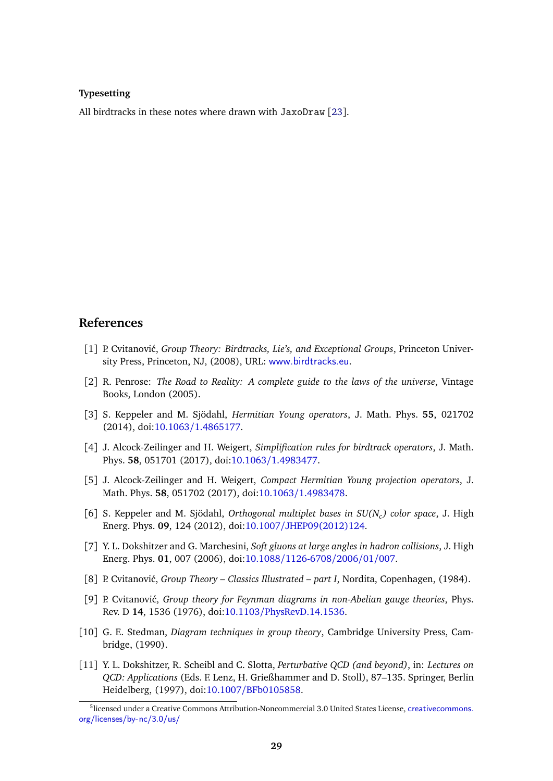#### **Typesetting**

All birdtracks in these notes where drawn with JaxoDraw [[23](#page-2-10)].

### **References**

- <span id="page-1-0"></span>[1] P. Cvitanović, *Group Theory: Birdtracks, Lie's, and Exceptional Groups*, Princeton University Press, Princeton, NJ, (2008), URL: <www.birdtracks.eu>.
- <span id="page-1-3"></span>[2] R. Penrose: *The Road to Reality: A complete guide to the laws of the universe*, Vintage Books, London (2005).
- <span id="page-1-7"></span>[3] S. Keppeler and M. Sjödahl, *Hermitian Young operators*, J. Math. Phys. **55**, 021702 (2014), doi:10.1063/[1.4865177.](http://dx.doi.org/10.1063/1.4865177)
- <span id="page-1-8"></span>[4] J. Alcock-Zeilinger and H. Weigert, *Simplification rules for birdtrack operators*, J. Math. Phys. **58**, 051701 (2017), doi:10.1063/[1.4983477.](http://dx.doi.org/10.1063/1.4983477)
- <span id="page-1-9"></span>[5] J. Alcock-Zeilinger and H. Weigert, *Compact Hermitian Young projection operators*, J. Math. Phys. **58**, 051702 (2017), doi:10.1063/[1.4983478.](http://dx.doi.org/10.1063/1.4983478)
- <span id="page-1-6"></span>[6] S. Keppeler and M. Sjödahl, *Orthogonal multiplet bases in SU(N<sup>c</sup> ) color space*, J. High Energ. Phys. **09**, 124 (2012), doi:10.1007/[JHEP09\(2012\)124.](http://dx.doi.org/10.1007/JHEP09(2012)124)
- [7] Y. L. Dokshitzer and G. Marchesini, *Soft gluons at large angles in hadron collisions*, J. High Energ. Phys. **01**, 007 (2006), doi:10.1088/[1126-6708](http://dx.doi.org/10.1088/1126-6708/2006/01/007)/2006/01/007.
- <span id="page-1-1"></span>[8] P. Cvitanović, *Group Theory – Classics Illustrated – part I*, Nordita, Copenhagen, (1984).
- <span id="page-1-2"></span>[9] P. Cvitanović, *Group theory for Feynman diagrams in non-Abelian gauge theories*, Phys. Rev. D **14**, 1536 (1976), doi:10.1103/[PhysRevD.14.1536.](http://dx.doi.org/10.1103/PhysRevD.14.1536)
- <span id="page-1-4"></span>[10] G. E. Stedman, *Diagram techniques in group theory*, Cambridge University Press, Cambridge, (1990).
- <span id="page-1-5"></span>[11] Y. L. Dokshitzer, R. Scheibl and C. Slotta, *Perturbative QCD (and beyond)*, in: *Lectures on QCD: Applications* (Eds. F. Lenz, H. Grießhammer and D. Stoll), 87–135. Springer, Berlin Heidelberg, (1997), doi:10.1007/[BFb0105858.](http://dx.doi.org/10.1007/BFb0105858)

<sup>5</sup> licensed under a Creative Commons Attribution-Noncommercial 3.0 United States License, [creativecommons.](creativecommons.org/licenses/by-nc/3.0/us/) [org/licenses/by-nc/3.0/us/](creativecommons.org/licenses/by-nc/3.0/us/)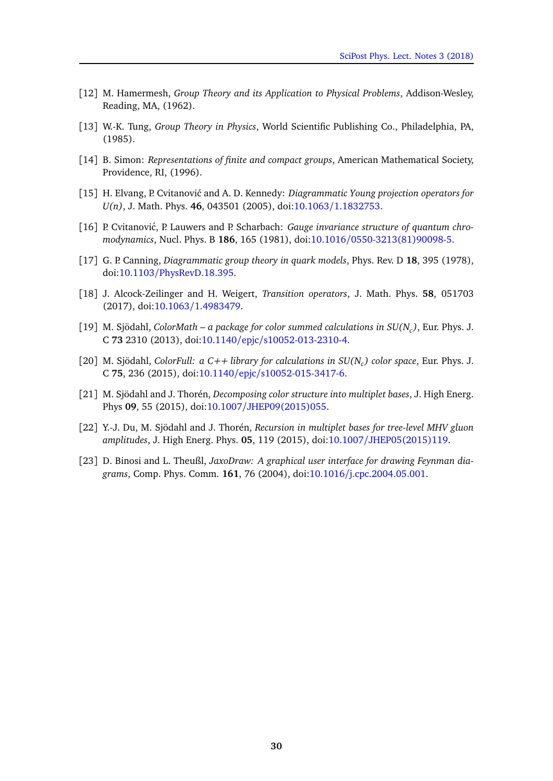- <span id="page-2-0"></span>[12] M. Hamermesh, *Group Theory and its Application to Physical Problems*, Addison-Wesley, Reading, MA, (1962).
- [13] W.-K. Tung, *Group Theory in Physics*, World Scientific Publishing Co., Philadelphia, PA, (1985).
- <span id="page-2-1"></span>[14] B. Simon: *Representations of finite and compact groups*, American Mathematical Society, Providence, RI, (1996).
- <span id="page-2-2"></span>[15] H. Elvang, P. Cvitanović and A. D. Kennedy: *Diagrammatic Young projection operators for U(n)*, J. Math. Phys. **46**, 043501 (2005), doi:10.1063/[1.1832753.](http://dx.doi.org/10.1063/1.1832753)
- <span id="page-2-3"></span>[16] P. Cvitanović, P. Lauwers and P. Scharbach: *Gauge invariance structure of quantum chromodynamics*, Nucl. Phys. B **186**, 165 (1981), doi:10.1016/[0550-3213\(81\)90098-5.](http://dx.doi.org/10.1016/0550-3213(81)90098-5)
- <span id="page-2-4"></span>[17] G. P. Canning, *Diagrammatic group theory in quark models*, Phys. Rev. D **18**, 395 (1978), doi:10.1103/[PhysRevD.18.395.](http://dx.doi.org/10.1103/PhysRevD.18.395)
- <span id="page-2-5"></span>[18] J. Alcock-Zeilinger and H. Weigert, *Transition operators*, J. Math. Phys. **58**, 051703 (2017), doi:10.1063/[1.4983479.](http://dx.doi.org/10.1063/1.4983479)
- <span id="page-2-6"></span>[19] M. Sjödahl, *ColorMath – a package for color summed calculations in SU(N<sup>c</sup> )*, Eur. Phys. J. C **73** 2310 (2013), doi:10.1140/epjc/[s10052-013-2310-4.](http://dx.doi.org/10.1140/epjc/s10052-013-2310-4)
- <span id="page-2-7"></span>[20] M. Sjödahl, *ColorFull: a C++ library for calculations in SU(N<sup>c</sup> ) color space*, Eur. Phys. J. C **75**, 236 (2015), doi:10.1140/epjc/[s10052-015-3417-6.](http://dx.doi.org/10.1140/epjc/s10052-015-3417-6)
- <span id="page-2-8"></span>[21] M. Sjödahl and J. Thorén, *Decomposing color structure into multiplet bases*, J. High Energ. Phys **09**, 55 (2015), doi:10.1007/[JHEP09\(2015\)055.](http://dx.doi.org/10.1007/JHEP09(2015)055)
- <span id="page-2-9"></span>[22] Y.-J. Du, M. Sjödahl and J. Thorén, *Recursion in multiplet bases for tree-level MHV gluon amplitudes*, J. High Energ. Phys. **05**, 119 (2015), doi:10.1007/[JHEP05\(2015\)119.](http://dx.doi.org/10.1007/JHEP05(2015)119)
- <span id="page-2-10"></span>[23] D. Binosi and L. Theußl, *JaxoDraw: A graphical user interface for drawing Feynman diagrams*, Comp. Phys. Comm. **161**, 76 (2004), doi:10.1016/[j.cpc.2004.05.001.](http://dx.doi.org/10.1016/j.cpc.2004.05.001)